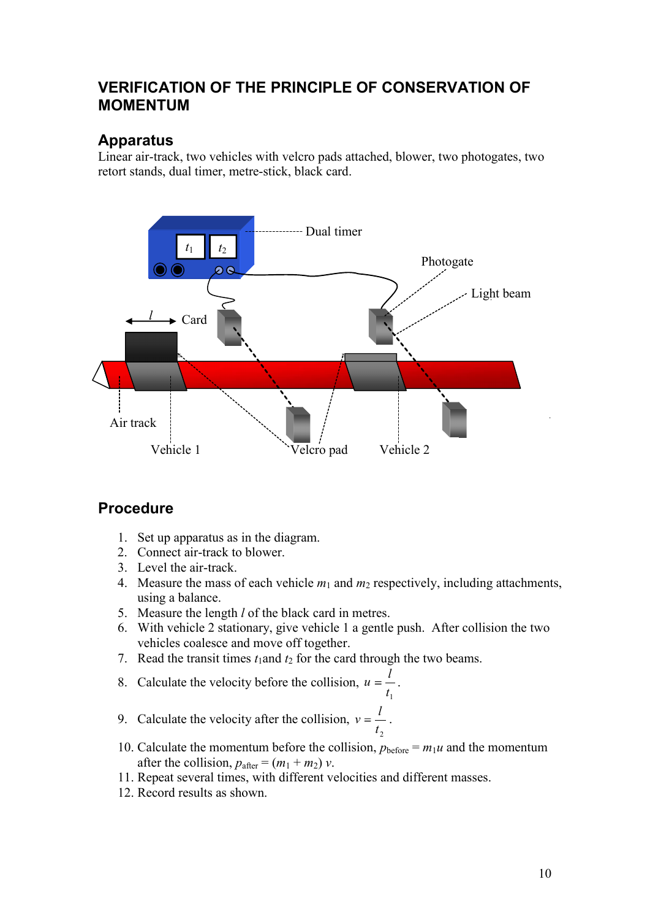## VERIFICATION OF THE PRINCIPLE OF CONSERVATION OF MOMENTUM

#### Apparatus

Linear air-track, two vehicles with velcro pads attached, blower, two photogates, two retort stands, dual timer, metre-stick, black card.



#### Procedure

- 1. Set up apparatus as in the diagram.
- 2. Connect air-track to blower.
- 3. Level the air-track.
- 4. Measure the mass of each vehicle  $m_1$  and  $m_2$  respectively, including attachments, using a balance.
- 5. Measure the length l of the black card in metres.
- 6. With vehicle 2 stationary, give vehicle 1 a gentle push. After collision the two vehicles coalesce and move off together.
- 7. Read the transit times  $t_1$  and  $t_2$  for the card through the two beams.
- 8. Calculate the velocity before the collision,  $u = \frac{1}{x}$ . 1  $t_1$ 8. Calculate the velocity before the collision,  $u = \frac{l}{t_1}$ .<br>9. Calculate the velocity after the collision,  $v = \frac{l}{t_1}$ .
- 2 a *z* a *z* a *z* a *z* a *z* a *z* a *z* a *z* a *z* a *z* a *z* a *z* a *z* a *z* a *z*  $t_2$ l
- 10. Calculate the momentum before the collision,  $p_{before} = m_1u$  and the momentum after the collision,  $p_{\text{after}} = (m_1 + m_2) v$ .<br>11. Repeat several times, with different velocities and different masses.
- 
- 12. Record results as shown.